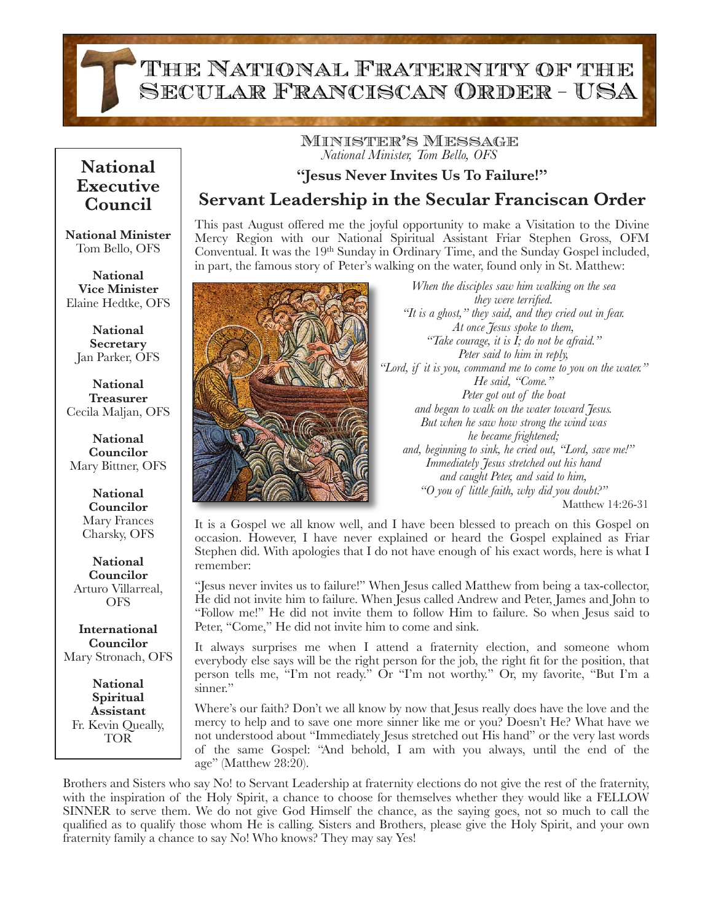THE NATIONAL FRATERNITY OF THE SECULAR FRANCISCAN ORDER - USA

## **Executive Council**

**National Minister** Tom Bello, OFS

**National Vice Minister** Elaine Hedtke, OFS

**National Secretary** Jan Parker, OFS

**National Treasurer** Cecila Maljan, OFS

**National Councilor** Mary Bittner, OFS

> **National Councilor** Mary Frances Charsky, OFS

**National Councilor** Arturo Villarreal, **OFS** 

**International Councilor** Mary Stronach, OFS

**National Spiritual Assistant** Fr. Kevin Queally, TOR

## Minister's Message *National Minister, Tom Bello, OFS* **National**

## **"Jesus Never Invites Us To Failure!"**

**Servant Leadership in the Secular Franciscan Order** 

This past August offered me the joyful opportunity to make a Visitation to the Divine Mercy Region with our National Spiritual Assistant Friar Stephen Gross, OFM Conventual. It was the 19<sup>th</sup> Sunday in Ordinary Time, and the Sunday Gospel included, in part, the famous story of Peter's walking on the water, found only in St. Matthew:



*When the disciples saw him walking on the sea they were terrified. "It is a ghost," they said, and they cried out in fear. At once Jesus spoke to them, "Take courage, it is I; do not be afraid." Peter said to him in reply, "Lord, if it is you, command me to come to you on the water." He said, "Come." Peter got out of the boat and began to walk on the water toward Jesus. But when he saw how strong the wind was he became frightened; and, beginning to sink, he cried out, "Lord, save me!" Immediately Jesus stretched out his hand and caught Peter, and said to him, "O you of little faith, why did you doubt?"* 

 Matthew 14:26-31

It is a Gospel we all know well, and I have been blessed to preach on this Gospel on occasion. However, I have never explained or heard the Gospel explained as Friar Stephen did. With apologies that I do not have enough of his exact words, here is what I remember:

"Jesus never invites us to failure!" When Jesus called Matthew from being a tax-collector, He did not invite him to failure. When Jesus called Andrew and Peter, James and John to "Follow me!" He did not invite them to follow Him to failure. So when Jesus said to Peter, "Come," He did not invite him to come and sink.

It always surprises me when I attend a fraternity election, and someone whom everybody else says will be the right person for the job, the right fit for the position, that person tells me, "I'm not ready." Or "I'm not worthy." Or, my favorite, "But I'm a sinner."

Where's our faith? Don't we all know by now that Jesus really does have the love and the mercy to help and to save one more sinner like me or you? Doesn't He? What have we not understood about "Immediately Jesus stretched out His hand" or the very last words of the same Gospel: "And behold, I am with you always, until the end of the age" (Matthew 28:20).

Brothers and Sisters who say No! to Servant Leadership at fraternity elections do not give the rest of the fraternity, with the inspiration of the Holy Spirit, a chance to choose for themselves whether they would like a FELLOW SINNER to serve them. We do not give God Himself the chance, as the saying goes, not so much to call the qualified as to qualify those whom He is calling. Sisters and Brothers, please give the Holy Spirit, and your own fraternity family a chance to say No! Who knows? They may say Yes!